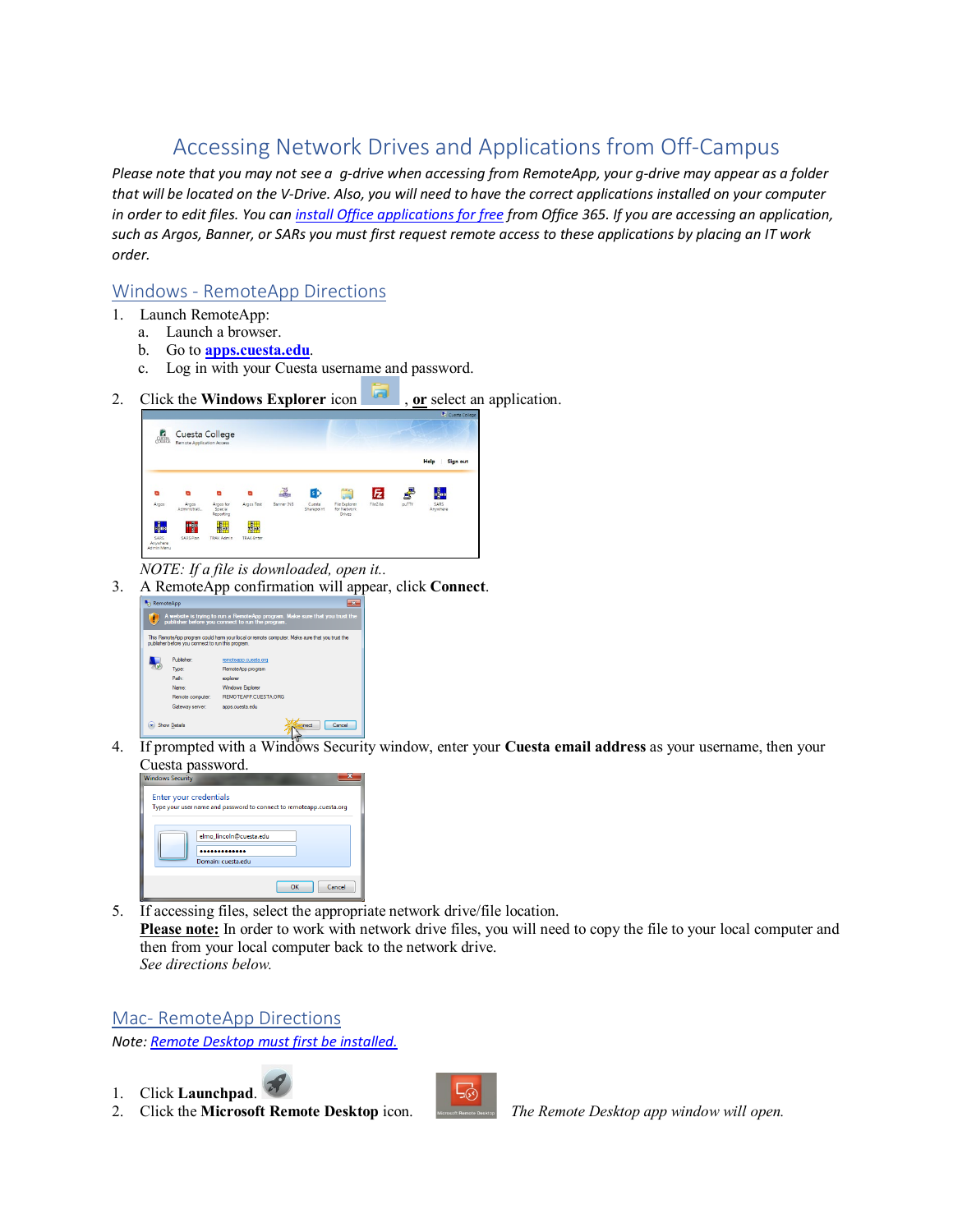# Accessing Network Drives and Applications from Off-Campus

*Please note that you may not see a g-drive when accessing from RemoteApp, your g-drive may appear as a folder that will be located on the V-Drive. Also, you will need to have the correct applications installed on your computer in order to edit files. You ca[n install Office applications for free](https://support.office.com/en-us/article/download-and-install-or-reinstall-office-365-or-office-2019-on-a-pc-or-mac-4414eaaf-0478-48be-9c42-23adc4716658#InstallSteps=Install_on_a_Mac) from Office 365. If you are accessing an application, such as Argos, Banner, or SARs you must first request remote access to these applications by placing an IT work order.* 

### Windows - RemoteApp Directions

- 1. Launch RemoteApp:
	- a. Launch a browser.
	- b. Go to **[apps.cuesta.edu](https://apps.cuesta.edu/)**.
	- c. Log in with your Cuesta username and password.



- *NOTE: If a file is downloaded, open it..*
- 3. A RemoteApp confirmation will appear, click **Connect**.



4. If prompted with a Windows Security window, enter your **Cuesta email address** as your username, then your Cuesta password.



5. If accessing files, select the appropriate network drive/file location. **Please note:** In order to work with network drive files, you will need to copy the file to your local computer and then from your local computer back to the network drive. *See directions below.*

Mac- RemoteApp Directions

*Note[: Remote Desktop must first be installed.](https://www.cuesta.edu/departments/documents/training_docs/Mac_install_help.pdf)*

1. Click **Launchpad**.



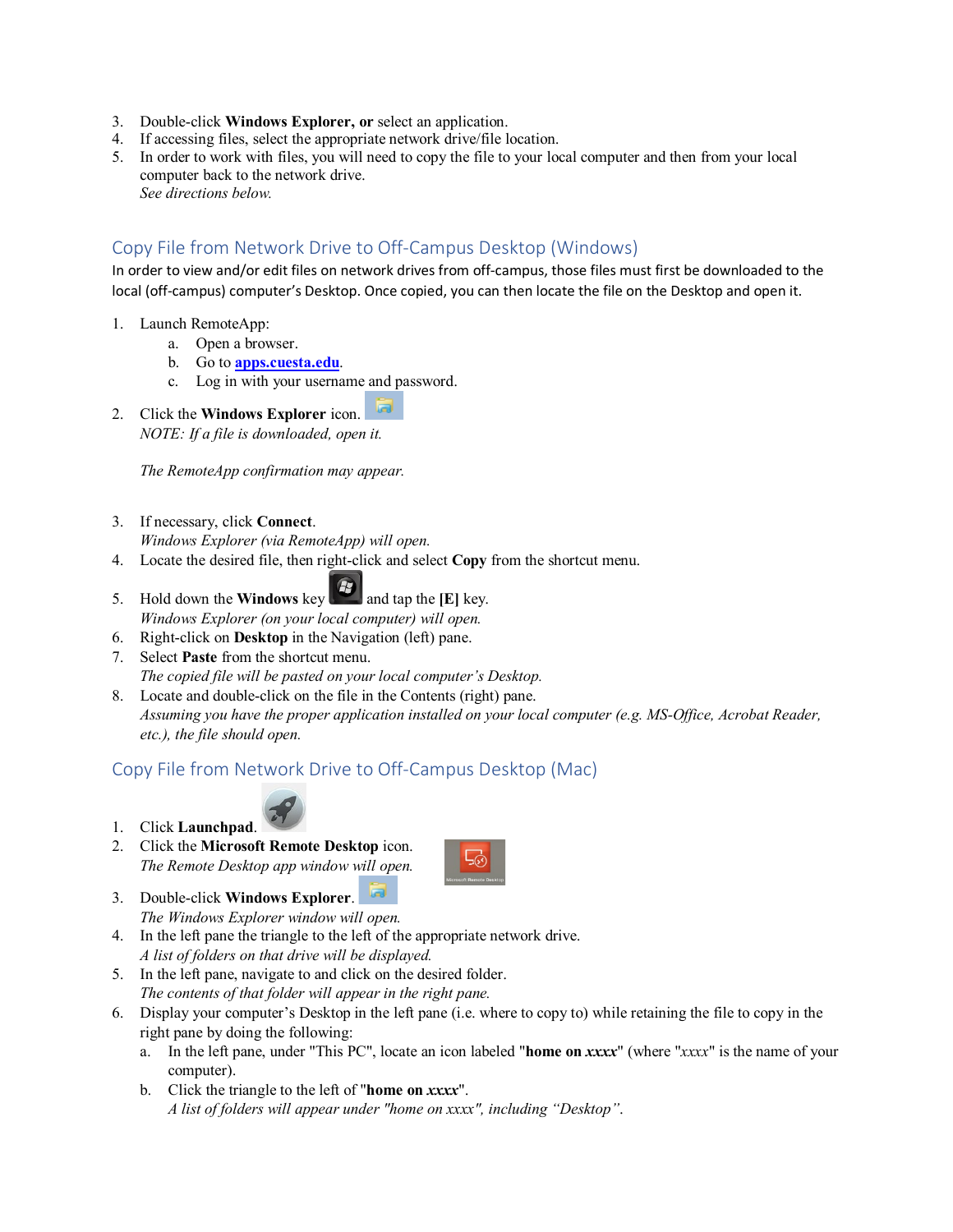- 3. Double-click **Windows Explorer, or** select an application.
- 4. If accessing files, select the appropriate network drive/file location.
- 5. In order to work with files, you will need to copy the file to your local computer and then from your local computer back to the network drive. *See directions below.*

#### Copy File from Network Drive to Off-Campus Desktop (Windows)

In order to view and/or edit files on network drives from off-campus, those files must first be downloaded to the local (off-campus) computer's Desktop. Once copied, you can then locate the file on the Desktop and open it.

- 1. Launch RemoteApp:
	- a. Open a browser.
	- b. Go to **[apps.cuesta.edu](https://apps.cuesta.edu/)**.
	- c. Log in with your username and password.
- 2. Click the **Windows Explorer** icon. *NOTE: If a file is downloaded, open it.*

*The RemoteApp confirmation may appear.*

3. If necessary, click **Connect**.

*Windows Explorer (via RemoteApp) will open.*

- 4. Locate the desired file, then right-click and select **Copy** from the shortcut menu.
- 5.Hold down the **Windows** key **a** and tap the **[E]** key. *Windows Explorer (on your local computer) will open.*
- 6. Right-click on **Desktop** in the Navigation (left) pane.
- 7. Select **Paste** from the shortcut menu. *The copied file will be pasted on your local computer's Desktop.*
- 8. Locate and double-click on the file in the Contents (right) pane. *Assuming you have the proper application installed on your local computer (e.g. MS-Office, Acrobat Reader, etc.), the file should open.*

#### Copy File from Network Drive to Off-Campus Desktop (Mac)



- 1. Click **Launchpad**.
- 2. Click the **Microsoft Remote Desktop** icon. *The Remote Desktop app window will open.*



- 3. Double-click **Windows Explorer**. *The Windows Explorer window will open.*
- 4. In the left pane the triangle to the left of the appropriate network drive. *A list of folders on that drive will be displayed.*
- 5. In the left pane, navigate to and click on the desired folder. *The contents of that folder will appear in the right pane.*
- 6. Display your computer's Desktop in the left pane (i.e. where to copy to) while retaining the file to copy in the right pane by doing the following:
	- a. In the left pane, under "This PC", locate an icon labeled "**home on** *xxxx*" (where "*xxxx*" is the name of your computer).
	- b. Click the triangle to the left of "**home on** *xxxx*". *A list of folders will appear under "home on xxxx", including "Desktop"*.